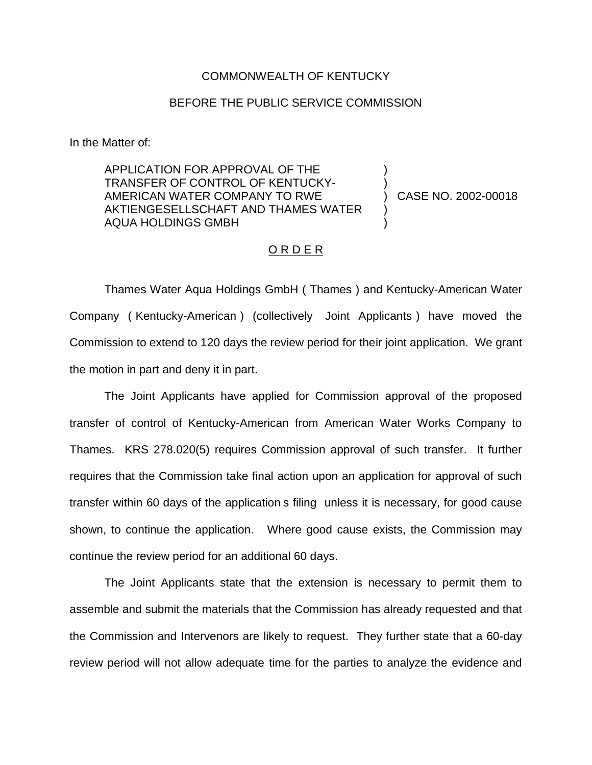### COMMONWEALTH OF KENTUCKY

## BEFORE THE PUBLIC SERVICE COMMISSION

In the Matter of:

APPLICATION FOR APPROVAL OF THE TRANSFER OF CONTROL OF KENTUCKY-AMERICAN WATER COMPANY TO RWE AKTIENGESELLSCHAFT AND THAMES WATER AQUA HOLDINGS GMBH

) CASE NO. 2002-00018

) )

) )

### O R D E R

Thames Water Aqua Holdings GmbH ( Thames ) and Kentucky-American Water Company ( Kentucky-American ) (collectively Joint Applicants ) have moved the Commission to extend to 120 days the review period for their joint application. We grant the motion in part and deny it in part.

The Joint Applicants have applied for Commission approval of the proposed transfer of control of Kentucky-American from American Water Works Company to Thames. KRS 278.020(5) requires Commission approval of such transfer. It further requires that the Commission take final action upon an application for approval of such transfer within 60 days of the application s filing unless it is necessary, for good cause shown, to continue the application. Where good cause exists, the Commission may continue the review period for an additional 60 days.

The Joint Applicants state that the extension is necessary to permit them to assemble and submit the materials that the Commission has already requested and that the Commission and Intervenors are likely to request. They further state that a 60-day review period will not allow adequate time for the parties to analyze the evidence and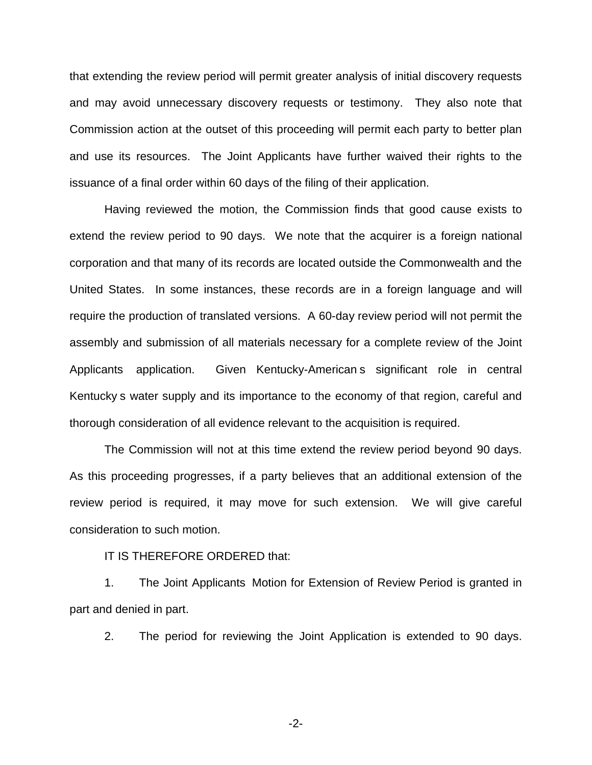that extending the review period will permit greater analysis of initial discovery requests and may avoid unnecessary discovery requests or testimony. They also note that Commission action at the outset of this proceeding will permit each party to better plan and use its resources. The Joint Applicants have further waived their rights to the issuance of a final order within 60 days of the filing of their application.

Having reviewed the motion, the Commission finds that good cause exists to extend the review period to 90 days. We note that the acquirer is a foreign national corporation and that many of its records are located outside the Commonwealth and the United States. In some instances, these records are in a foreign language and will require the production of translated versions. A 60-day review period will not permit the assembly and submission of all materials necessary for a complete review of the Joint Applicants application. Given Kentucky-American s significant role in central Kentucky s water supply and its importance to the economy of that region, careful and thorough consideration of all evidence relevant to the acquisition is required.

The Commission will not at this time extend the review period beyond 90 days. As this proceeding progresses, if a party believes that an additional extension of the review period is required, it may move for such extension. We will give careful consideration to such motion.

#### IT IS THEREFORE ORDERED that:

1. The Joint Applicants Motion for Extension of Review Period is granted in part and denied in part.

2. The period for reviewing the Joint Application is extended to 90 days.

-2-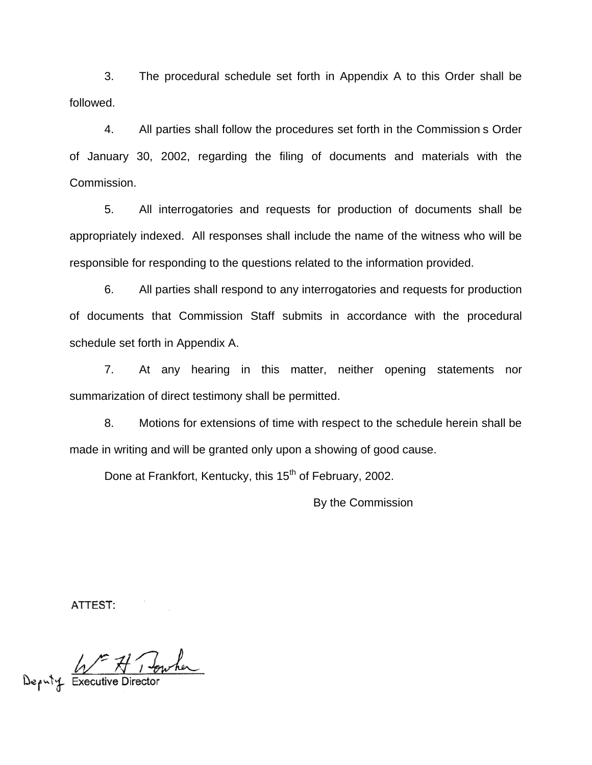3. The procedural schedule set forth in Appendix A to this Order shall be followed.

4. All parties shall follow the procedures set forth in the Commission s Order of January 30, 2002, regarding the filing of documents and materials with the Commission.

5. All interrogatories and requests for production of documents shall be appropriately indexed. All responses shall include the name of the witness who will be responsible for responding to the questions related to the information provided.

6. All parties shall respond to any interrogatories and requests for production of documents that Commission Staff submits in accordance with the procedural schedule set forth in Appendix A.

7. At any hearing in this matter, neither opening statements nor summarization of direct testimony shall be permitted.

8. Motions for extensions of time with respect to the schedule herein shall be made in writing and will be granted only upon a showing of good cause.

Done at Frankfort, Kentucky, this 15<sup>th</sup> of February, 2002.

By the Commission

ATTEST:

Deputy Executive Director